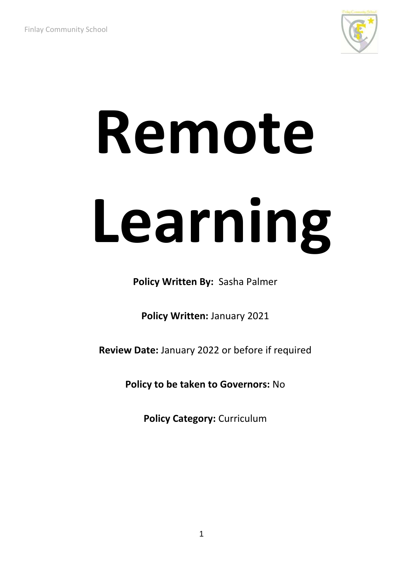

# **Remote Learning**

**Policy Written By:** Sasha Palmer

**Policy Written:** January 2021

**Review Date:** January 2022 or before if required

**Policy to be taken to Governors:** No

**Policy Category: Curriculum**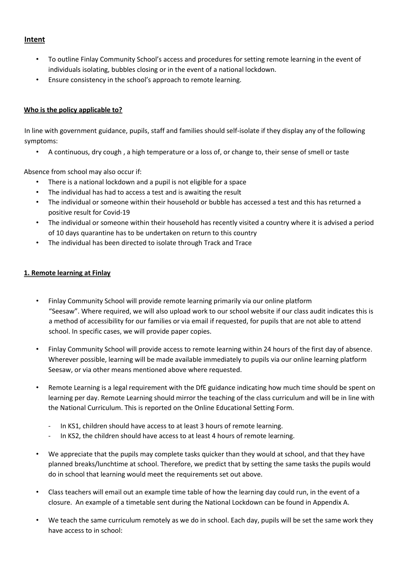### **Intent**

- To outline Finlay Community School's access and procedures for setting remote learning in the event of individuals isolating, bubbles closing or in the event of a national lockdown.
- Ensure consistency in the school's approach to remote learning.

### **Who is the policy applicable to?**

In line with government guidance, pupils, staff and families should self-isolate if they display any of the following symptoms:

• A continuous, dry cough , a high temperature or a loss of, or change to, their sense of smell or taste

Absence from school may also occur if:

- There is a national lockdown and a pupil is not eligible for a space
- The individual has had to access a test and is awaiting the result
- The individual or someone within their household or bubble has accessed a test and this has returned a positive result for Covid-19
- The individual or someone within their household has recently visited a country where it is advised a period of 10 days quarantine has to be undertaken on return to this country
- The individual has been directed to isolate through Track and Trace

### **1. Remote learning at Finlay**

- Finlay Community School will provide remote learning primarily via our online platform "Seesaw". Where required, we will also upload work to our school website if our class audit indicates this is a method of accessibility for our families or via email if requested, for pupils that are not able to attend school. In specific cases, we will provide paper copies.
- Finlay Community School will provide access to remote learning within 24 hours of the first day of absence. Wherever possible, learning will be made available immediately to pupils via our online learning platform Seesaw, or via other means mentioned above where requested.
- Remote Learning is a legal requirement with the DfE guidance indicating how much time should be spent on learning per day. Remote Learning should mirror the teaching of the class curriculum and will be in line with the National Curriculum. This is reported on the Online Educational Setting Form.
	- In KS1, children should have access to at least 3 hours of remote learning.
	- In KS2, the children should have access to at least 4 hours of remote learning.
- We appreciate that the pupils may complete tasks quicker than they would at school, and that they have planned breaks/lunchtime at school. Therefore, we predict that by setting the same tasks the pupils would do in school that learning would meet the requirements set out above.
- Class teachers will email out an example time table of how the learning day could run, in the event of a closure. An example of a timetable sent during the National Lockdown can be found in Appendix A.
- We teach the same curriculum remotely as we do in school. Each day, pupils will be set the same work they have access to in school: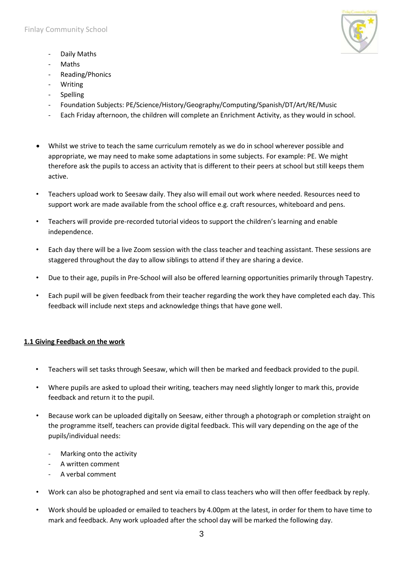

- Daily Maths
- Maths
- Reading/Phonics
- Writing
- **Spelling**
- Foundation Subjects: PE/Science/History/Geography/Computing/Spanish/DT/Art/RE/Music
- Each Friday afternoon, the children will complete an Enrichment Activity, as they would in school.
- Whilst we strive to teach the same curriculum remotely as we do in school wherever possible and appropriate, we may need to make some adaptations in some subjects. For example: PE. We might therefore ask the pupils to access an activity that is different to their peers at school but still keeps them active.
- Teachers upload work to Seesaw daily. They also will email out work where needed. Resources need to support work are made available from the school office e.g. craft resources, whiteboard and pens.
- Teachers will provide pre-recorded tutorial videos to support the children's learning and enable independence.
- Each day there will be a live Zoom session with the class teacher and teaching assistant. These sessions are staggered throughout the day to allow siblings to attend if they are sharing a device.
- Due to their age, pupils in Pre-School will also be offered learning opportunities primarily through Tapestry.
- Each pupil will be given feedback from their teacher regarding the work they have completed each day. This feedback will include next steps and acknowledge things that have gone well.

### **1.1 Giving Feedback on the work**

- Teachers will set tasks through Seesaw, which will then be marked and feedback provided to the pupil.
- Where pupils are asked to upload their writing, teachers may need slightly longer to mark this, provide feedback and return it to the pupil.
- Because work can be uploaded digitally on Seesaw, either through a photograph or completion straight on the programme itself, teachers can provide digital feedback. This will vary depending on the age of the pupils/individual needs:
	- Marking onto the activity
	- A written comment
	- A verbal comment
- Work can also be photographed and sent via email to class teachers who will then offer feedback by reply.
- Work should be uploaded or emailed to teachers by 4.00pm at the latest, in order for them to have time to mark and feedback. Any work uploaded after the school day will be marked the following day.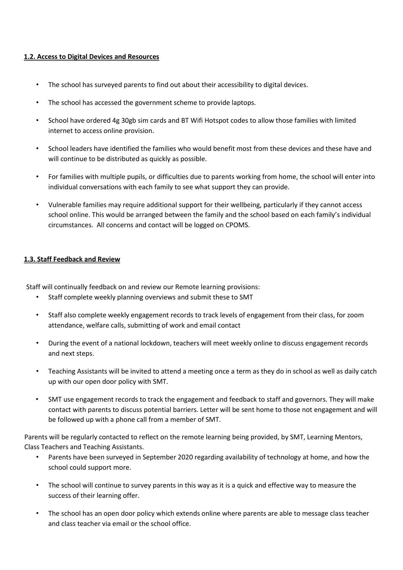### **1.2. Access to Digital Devices and Resources**

- The school has surveyed parents to find out about their accessibility to digital devices.
- The school has accessed the government scheme to provide laptops.
- School have ordered 4g 30gb sim cards and BT Wifi Hotspot codes to allow those families with limited internet to access online provision.
- School leaders have identified the families who would benefit most from these devices and these have and will continue to be distributed as quickly as possible.
- For families with multiple pupils, or difficulties due to parents working from home, the school will enter into individual conversations with each family to see what support they can provide.
- Vulnerable families may require additional support for their wellbeing, particularly if they cannot access school online. This would be arranged between the family and the school based on each family's individual circumstances. All concerns and contact will be logged on CPOMS.

### **1.3. Staff Feedback and Review**

Staff will continually feedback on and review our Remote learning provisions:

- Staff complete weekly planning overviews and submit these to SMT
- Staff also complete weekly engagement records to track levels of engagement from their class, for zoom attendance, welfare calls, submitting of work and email contact
- During the event of a national lockdown, teachers will meet weekly online to discuss engagement records and next steps.
- Teaching Assistants will be invited to attend a meeting once a term as they do in school as well as daily catch up with our open door policy with SMT.
- SMT use engagement records to track the engagement and feedback to staff and governors. They will make contact with parents to discuss potential barriers. Letter will be sent home to those not engagement and will be followed up with a phone call from a member of SMT.

Parents will be regularly contacted to reflect on the remote learning being provided, by SMT, Learning Mentors, Class Teachers and Teaching Assistants.

- Parents have been surveyed in September 2020 regarding availability of technology at home, and how the school could support more.
- The school will continue to survey parents in this way as it is a quick and effective way to measure the success of their learning offer.
- The school has an open door policy which extends online where parents are able to message class teacher and class teacher via email or the school office.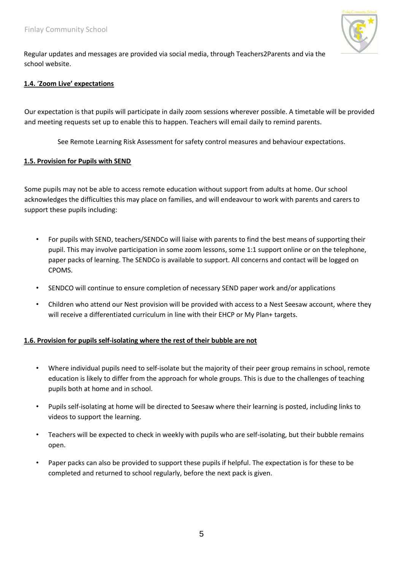

Regular updates and messages are provided via social media, through Teachers2Parents and via the school website.

### **1.4.** '**Zoom Live' expectations**

Our expectation is that pupils will participate in daily zoom sessions wherever possible. A timetable will be provided and meeting requests set up to enable this to happen. Teachers will email daily to remind parents.

See Remote Learning Risk Assessment for safety control measures and behaviour expectations.

### **1.5. Provision for Pupils with SEND**

Some pupils may not be able to access remote education without support from adults at home. Our school acknowledges the difficulties this may place on families, and will endeavour to work with parents and carers to support these pupils including:

- For pupils with SEND, teachers/SENDCo will liaise with parents to find the best means of supporting their pupil. This may involve participation in some zoom lessons, some 1:1 support online or on the telephone, paper packs of learning. The SENDCo is available to support. All concerns and contact will be logged on CPOMS.
- SENDCO will continue to ensure completion of necessary SEND paper work and/or applications
- Children who attend our Nest provision will be provided with access to a Nest Seesaw account, where they will receive a differentiated curriculum in line with their EHCP or My Plan+ targets.

### **1.6. Provision for pupils self-isolating where the rest of their bubble are not**

- Where individual pupils need to self-isolate but the majority of their peer group remains in school, remote education is likely to differ from the approach for whole groups. This is due to the challenges of teaching pupils both at home and in school.
- Pupils self-isolating at home will be directed to Seesaw where their learning is posted, including links to videos to support the learning.
- Teachers will be expected to check in weekly with pupils who are self-isolating, but their bubble remains open.
- Paper packs can also be provided to support these pupils if helpful. The expectation is for these to be completed and returned to school regularly, before the next pack is given.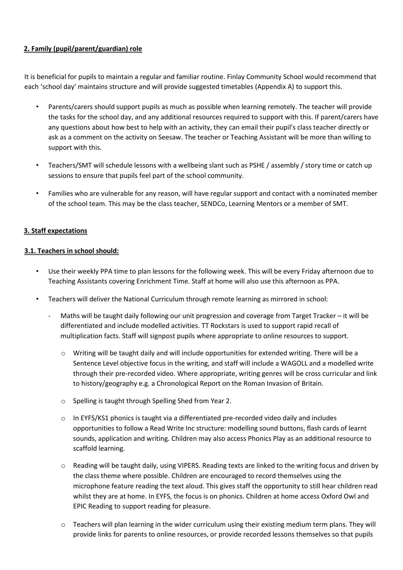### **2. Family (pupil/parent/guardian) role**

It is beneficial for pupils to maintain a regular and familiar routine. Finlay Community School would recommend that each 'school day' maintains structure and will provide suggested timetables (Appendix A) to support this.

- Parents/carers should support pupils as much as possible when learning remotely. The teacher will provide the tasks for the school day, and any additional resources required to support with this. If parent/carers have any questions about how best to help with an activity, they can email their pupil's class teacher directly or ask as a comment on the activity on Seesaw. The teacher or Teaching Assistant will be more than willing to support with this.
- Teachers/SMT will schedule lessons with a wellbeing slant such as PSHE / assembly / story time or catch up sessions to ensure that pupils feel part of the school community.
- Families who are vulnerable for any reason, will have regular support and contact with a nominated member of the school team. This may be the class teacher, SENDCo, Learning Mentors or a member of SMT.

### **3. Staff expectations**

### **3.1. Teachers in school should:**

- Use their weekly PPA time to plan lessons for the following week. This will be every Friday afternoon due to Teaching Assistants covering Enrichment Time. Staff at home will also use this afternoon as PPA.
- Teachers will deliver the National Curriculum through remote learning as mirrored in school:
	- Maths will be taught daily following our unit progression and coverage from Target Tracker it will be differentiated and include modelled activities. TT Rockstars is used to support rapid recall of multiplication facts. Staff will signpost pupils where appropriate to online resources to support.
		- $\circ$  Writing will be taught daily and will include opportunities for extended writing. There will be a Sentence Level objective focus in the writing, and staff will include a WAGOLL and a modelled write through their pre-recorded video. Where appropriate, writing genres will be cross curricular and link to history/geography e.g. a Chronological Report on the Roman Invasion of Britain.
		- o Spelling is taught through Spelling Shed from Year 2.
		- o In EYFS/KS1 phonics is taught via a differentiated pre-recorded video daily and includes opportunities to follow a Read Write Inc structure: modelling sound buttons, flash cards of learnt sounds, application and writing. Children may also access Phonics Play as an additional resource to scaffold learning.
		- o Reading will be taught daily, using VIPERS. Reading texts are linked to the writing focus and driven by the class theme where possible. Children are encouraged to record themselves using the microphone feature reading the text aloud. This gives staff the opportunity to still hear children read whilst they are at home. In EYFS, the focus is on phonics. Children at home access Oxford Owl and EPIC Reading to support reading for pleasure.
		- o Teachers will plan learning in the wider curriculum using their existing medium term plans. They will provide links for parents to online resources, or provide recorded lessons themselves so that pupils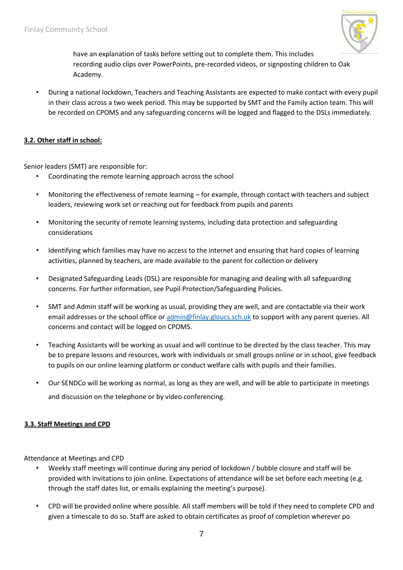

have an explanation of tasks before setting out to complete them. This includes recording audio clips over PowerPoints, pre-recorded videos, or signposting children to Oak Academy.

• During a national lockdown, Teachers and Teaching Assistants are expected to make contact with every pupil in their class across a two week period. This may be supported by SMT and the Family action team. This will be recorded on CPOMS and any safeguarding concerns will be logged and flagged to the DSLs immediately.

### **3.2. Other staff in school:**

Senior leaders (SMT) are responsible for:

- Coordinating the remote learning approach across the school
- Monitoring the effectiveness of remote learning for example, through contact with teachers and subject leaders, reviewing work set or reaching out for feedback from pupils and parents
- Monitoring the security of remote learning systems, including data protection and safeguarding considerations
- Identifying which families may have no access to the internet and ensuring that hard copies of learning activities, planned by teachers, are made available to the parent for collection or delivery
- Designated Safeguarding Leads (DSL) are responsible for managing and dealing with all safeguarding concerns. For further information, see Pupil Protection/Safeguarding Policies.
- SMT and Admin staff will be working as usual, providing they are well, and are contactable via their work email addresses or the school office or admin@finlay.gloucs.sch.uk to support with any parent queries. All concerns and contact will be logged on CPOMS.
- Teaching Assistants will be working as usual and will continue to be directed by the class teacher. This may be to prepare lessons and resources, work with individuals or small groups online or in school, give feedback to pupils on our online learning platform or conduct welfare calls with pupils and their families.
- Our SENDCo will be working as normal, as long as they are well, and will be able to participate in meetings and discussion on the telephone or by video conferencing.

### **3.3. Staff Meetings and CPD**

Attendance at Meetings and CPD

- Weekly staff meetings will continue during any period of lockdown / bubble closure and staff will be provided with invitations to join online. Expectations of attendance will be set before each meeting (e.g. through the staff dates list, or emails explaining the meeting's purpose).
- CPD will be provided online where possible. All staff members will be told if they need to complete CPD and given a timescale to do so. Staff are asked to obtain certificates as proof of completion wherever po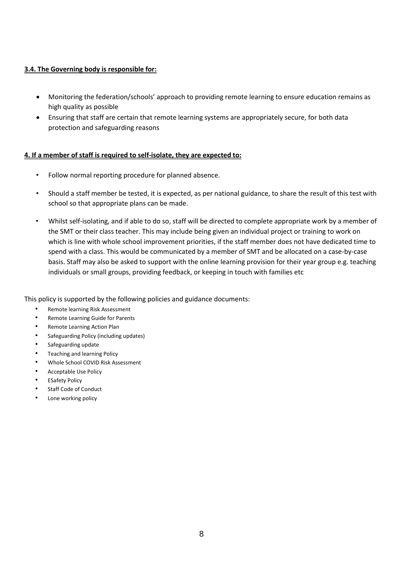### **3.4. The Governing body is responsible for:**

- Monitoring the federation/schools' approach to providing remote learning to ensure education remains as high quality as possible
- Ensuring that staff are certain that remote learning systems are appropriately secure, for both data protection and safeguarding reasons

### **4. If a member of staff is required to self-isolate, they are expected to:**

- Follow normal reporting procedure for planned absence.
- Should a staff member be tested, it is expected, as per national guidance, to share the result of this test with school so that appropriate plans can be made.
- Whilst self-isolating, and if able to do so, staff will be directed to complete appropriate work by a member of the SMT or their class teacher. This may include being given an individual project or training to work on which is line with whole school improvement priorities, if the staff member does not have dedicated time to spend with a class. This would be communicated by a member of SMT and be allocated on a case-by-case basis. Staff may also be asked to support with the online learning provision for their year group e.g. teaching individuals or small groups, providing feedback, or keeping in touch with families etc

This policy is supported by the following policies and guidance documents:

- Remote learning Risk Assessment
- Remote Learning Guide for Parents
- Remote Learning Action Plan
- Safeguarding Policy (including updates)
- Safeguarding update
- Teaching and learning Policy
- Whole School COVID Risk Assessment
- Acceptable Use Policy
- **ESafety Policy**
- Staff Code of Conduct
- Lone working policy